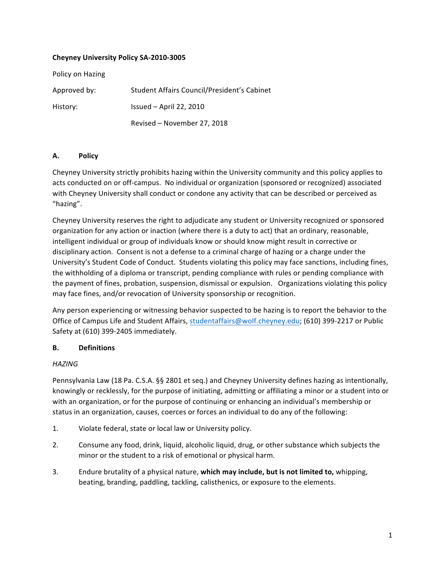### **Cheyney University Policy SA-2010-3005**

Policy on Hazing Approved by: Student Affairs Council/President's Cabinet History: Issued – April 22, 2010 Revised - November 27, 2018

### **A. Policy**

Cheyney University strictly prohibits hazing within the University community and this policy applies to acts conducted on or off-campus. No individual or organization (sponsored or recognized) associated with Cheyney University shall conduct or condone any activity that can be described or perceived as "hazing". 

Cheyney University reserves the right to adjudicate any student or University recognized or sponsored organization for any action or inaction (where there is a duty to act) that an ordinary, reasonable, intelligent individual or group of individuals know or should know might result in corrective or disciplinary action. Consent is not a defense to a criminal charge of hazing or a charge under the University's Student Code of Conduct. Students violating this policy may face sanctions, including fines, the withholding of a diploma or transcript, pending compliance with rules or pending compliance with the payment of fines, probation, suspension, dismissal or expulsion. Organizations violating this policy may face fines, and/or revocation of University sponsorship or recognition.

Any person experiencing or witnessing behavior suspected to be hazing is to report the behavior to the Office of Campus Life and Student Affairs, studentaffairs@wolf.cheyney.edu; (610) 399-2217 or Public Safety at (610) 399-2405 immediately.

### **B. Definitions**

### *HAZING*

Pennsylvania Law (18 Pa. C.S.A. §§ 2801 et seq.) and Cheyney University defines hazing as intentionally, knowingly or recklessly, for the purpose of initiating, admitting or affiliating a minor or a student into or with an organization, or for the purpose of continuing or enhancing an individual's membership or status in an organization, causes, coerces or forces an individual to do any of the following:

- 1. Violate federal, state or local law or University policy.
- 2. Consume any food, drink, liquid, alcoholic liquid, drug, or other substance which subjects the minor or the student to a risk of emotional or physical harm.
- 3. Endure brutality of a physical nature, which may include, but is not limited to, whipping, beating, branding, paddling, tackling, calisthenics, or exposure to the elements.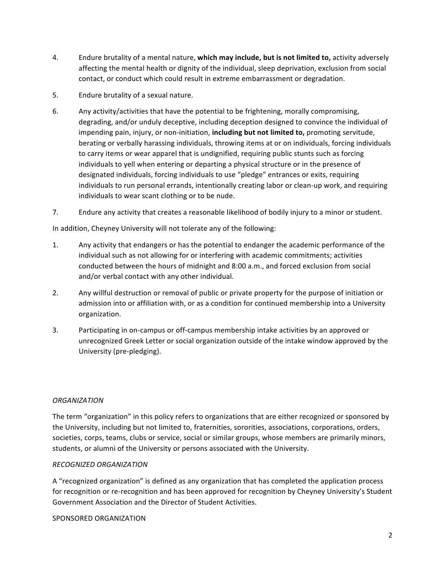- 4. Endure brutality of a mental nature, **which may include, but is not limited to,** activity adversely affecting the mental health or dignity of the individual, sleep deprivation, exclusion from social contact, or conduct which could result in extreme embarrassment or degradation.
- 5. Endure brutality of a sexual nature.
- 6. Any activity/activities that have the potential to be frightening, morally compromising, degrading, and/or unduly deceptive, including deception designed to convince the individual of impending pain, injury, or non-initiation, *including but not limited to*, promoting servitude, berating or verbally harassing individuals, throwing items at or on individuals, forcing individuals to carry items or wear apparel that is undignified, requiring public stunts such as forcing individuals to yell when entering or departing a physical structure or in the presence of designated individuals, forcing individuals to use "pledge" entrances or exits, requiring individuals to run personal errands, intentionally creating labor or clean-up work, and requiring individuals to wear scant clothing or to be nude.
- 7. Endure any activity that creates a reasonable likelihood of bodily injury to a minor or student.

In addition, Cheyney University will not tolerate any of the following:

- 1. Any activity that endangers or has the potential to endanger the academic performance of the individual such as not allowing for or interfering with academic commitments; activities conducted between the hours of midnight and 8:00 a.m., and forced exclusion from social and/or verbal contact with any other individual.
- 2. Any willful destruction or removal of public or private property for the purpose of initiation or admission into or affiliation with, or as a condition for continued membership into a University organization.
- 3. Participating in on-campus or off-campus membership intake activities by an approved or unrecognized Greek Letter or social organization outside of the intake window approved by the University (pre-pledging).

### *ORGANIZATION*

The term "organization" in this policy refers to organizations that are either recognized or sponsored by the University, including but not limited to, fraternities, sororities, associations, corporations, orders, societies, corps, teams, clubs or service, social or similar groups, whose members are primarily minors, students, or alumni of the University or persons associated with the University.

### *RECOGNIZED ORGANIZATION*

A "recognized organization" is defined as any organization that has completed the application process for recognition or re-recognition and has been approved for recognition by Cheyney University's Student Government Association and the Director of Student Activities.

SPONSORED ORGANIZATION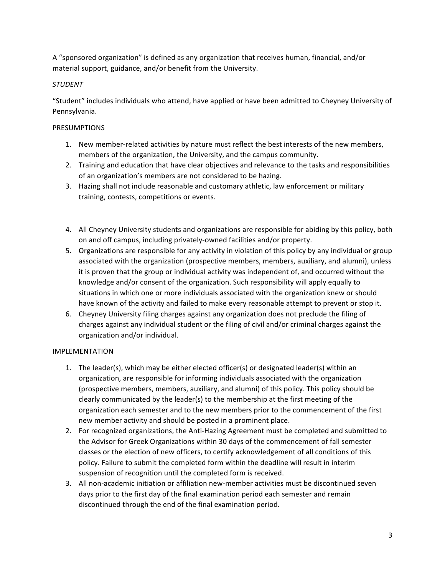A "sponsored organization" is defined as any organization that receives human, financial, and/or material support, guidance, and/or benefit from the University.

## *STUDENT*

"Student" includes individuals who attend, have applied or have been admitted to Cheyney University of Pennsylvania. 

## PRESUMPTIONS

- 1. New member-related activities by nature must reflect the best interests of the new members, members of the organization, the University, and the campus community.
- 2. Training and education that have clear objectives and relevance to the tasks and responsibilities of an organization's members are not considered to be hazing.
- 3. Hazing shall not include reasonable and customary athletic, law enforcement or military training, contests, competitions or events.
- 4. All Cheyney University students and organizations are responsible for abiding by this policy, both on and off campus, including privately-owned facilities and/or property.
- 5. Organizations are responsible for any activity in violation of this policy by any individual or group associated with the organization (prospective members, members, auxiliary, and alumni), unless it is proven that the group or individual activity was independent of, and occurred without the knowledge and/or consent of the organization. Such responsibility will apply equally to situations in which one or more individuals associated with the organization knew or should have known of the activity and failed to make every reasonable attempt to prevent or stop it.
- 6. Cheyney University filing charges against any organization does not preclude the filing of charges against any individual student or the filing of civil and/or criminal charges against the organization and/or individual.

### IMPLEMENTATION

- 1. The leader(s), which may be either elected officer(s) or designated leader(s) within an organization, are responsible for informing individuals associated with the organization (prospective members, members, auxiliary, and alumni) of this policy. This policy should be clearly communicated by the leader(s) to the membership at the first meeting of the organization each semester and to the new members prior to the commencement of the first new member activity and should be posted in a prominent place.
- 2. For recognized organizations, the Anti-Hazing Agreement must be completed and submitted to the Advisor for Greek Organizations within 30 days of the commencement of fall semester classes or the election of new officers, to certify acknowledgement of all conditions of this policy. Failure to submit the completed form within the deadline will result in interim suspension of recognition until the completed form is received.
- 3. All non-academic initiation or affiliation new-member activities must be discontinued seven days prior to the first day of the final examination period each semester and remain discontinued through the end of the final examination period.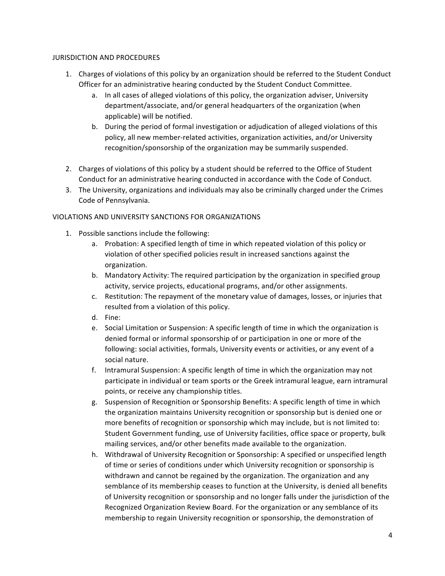### **JURISDICTION AND PROCEDURES**

- 1. Charges of violations of this policy by an organization should be referred to the Student Conduct Officer for an administrative hearing conducted by the Student Conduct Committee.
	- a. In all cases of alleged violations of this policy, the organization adviser, University department/associate, and/or general headquarters of the organization (when applicable) will be notified.
	- b. During the period of formal investigation or adjudication of alleged violations of this policy, all new member-related activities, organization activities, and/or University recognition/sponsorship of the organization may be summarily suspended.
- 2. Charges of violations of this policy by a student should be referred to the Office of Student Conduct for an administrative hearing conducted in accordance with the Code of Conduct.
- 3. The University, organizations and individuals may also be criminally charged under the Crimes Code of Pennsylvania.

# VIOLATIONS AND UNIVERSITY SANCTIONS FOR ORGANIZATIONS

- 1. Possible sanctions include the following:
	- a. Probation: A specified length of time in which repeated violation of this policy or violation of other specified policies result in increased sanctions against the organization.
	- b. Mandatory Activity: The required participation by the organization in specified group activity, service projects, educational programs, and/or other assignments.
	- c. Restitution: The repayment of the monetary value of damages, losses, or injuries that resulted from a violation of this policy.
	- d. Fine:
	- e. Social Limitation or Suspension: A specific length of time in which the organization is denied formal or informal sponsorship of or participation in one or more of the following: social activities, formals, University events or activities, or any event of a social nature.
	- f. Intramural Suspension: A specific length of time in which the organization may not participate in individual or team sports or the Greek intramural league, earn intramural points, or receive any championship titles.
	- g. Suspension of Recognition or Sponsorship Benefits: A specific length of time in which the organization maintains University recognition or sponsorship but is denied one or more benefits of recognition or sponsorship which may include, but is not limited to: Student Government funding, use of University facilities, office space or property, bulk mailing services, and/or other benefits made available to the organization.
	- h. Withdrawal of University Recognition or Sponsorship: A specified or unspecified length of time or series of conditions under which University recognition or sponsorship is withdrawn and cannot be regained by the organization. The organization and any semblance of its membership ceases to function at the University, is denied all benefits of University recognition or sponsorship and no longer falls under the jurisdiction of the Recognized Organization Review Board. For the organization or any semblance of its membership to regain University recognition or sponsorship, the demonstration of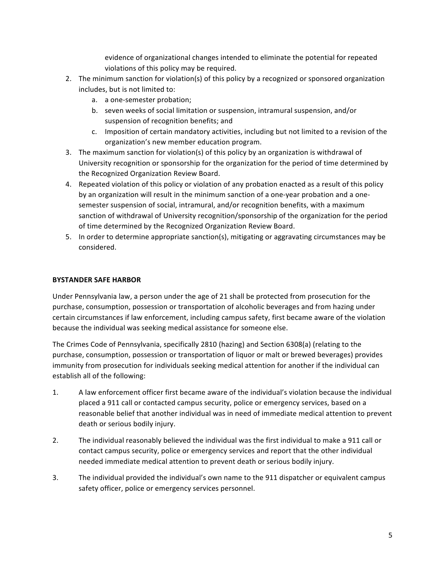evidence of organizational changes intended to eliminate the potential for repeated violations of this policy may be required.

- 2. The minimum sanction for violation(s) of this policy by a recognized or sponsored organization includes, but is not limited to:
	- a. a one-semester probation;
	- b. seven weeks of social limitation or suspension, intramural suspension, and/or suspension of recognition benefits; and
	- c. Imposition of certain mandatory activities, including but not limited to a revision of the organization's new member education program.
- 3. The maximum sanction for violation(s) of this policy by an organization is withdrawal of University recognition or sponsorship for the organization for the period of time determined by the Recognized Organization Review Board.
- 4. Repeated violation of this policy or violation of any probation enacted as a result of this policy by an organization will result in the minimum sanction of a one-year probation and a onesemester suspension of social, intramural, and/or recognition benefits, with a maximum sanction of withdrawal of University recognition/sponsorship of the organization for the period of time determined by the Recognized Organization Review Board.
- 5. In order to determine appropriate sanction(s), mitigating or aggravating circumstances may be considered.

# **BYSTANDER SAFE HARBOR**

Under Pennsylvania law, a person under the age of 21 shall be protected from prosecution for the purchase, consumption, possession or transportation of alcoholic beverages and from hazing under certain circumstances if law enforcement, including campus safety, first became aware of the violation because the individual was seeking medical assistance for someone else.

The Crimes Code of Pennsylvania, specifically 2810 (hazing) and Section 6308(a) (relating to the purchase, consumption, possession or transportation of liquor or malt or brewed beverages) provides immunity from prosecution for individuals seeking medical attention for another if the individual can establish all of the following:

- 1. A law enforcement officer first became aware of the individual's violation because the individual placed a 911 call or contacted campus security, police or emergency services, based on a reasonable belief that another individual was in need of immediate medical attention to prevent death or serious bodily injury.
- 2. The individual reasonably believed the individual was the first individual to make a 911 call or contact campus security, police or emergency services and report that the other individual needed immediate medical attention to prevent death or serious bodily injury.
- 3. The individual provided the individual's own name to the 911 dispatcher or equivalent campus safety officer, police or emergency services personnel.